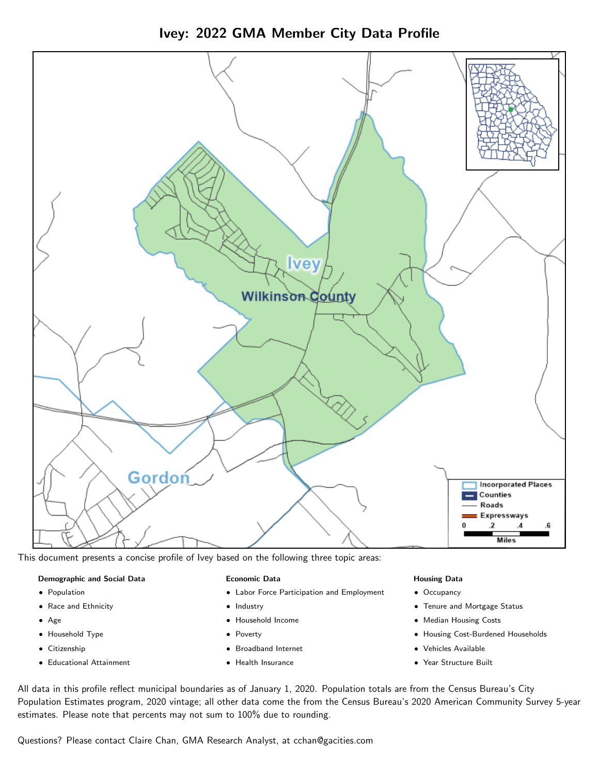



This document presents a concise profile of Ivey based on the following three topic areas:

#### Demographic and Social Data

- **•** Population
- Race and Ethnicity
- Age
- Household Type
- **Citizenship**
- Educational Attainment

#### Economic Data

- Labor Force Participation and Employment
- Industry
- Household Income
- Poverty
- Broadband Internet
- Health Insurance

#### Housing Data

- Occupancy
- Tenure and Mortgage Status
- Median Housing Costs
- Housing Cost-Burdened Households
- Vehicles Available
- Year Structure Built

All data in this profile reflect municipal boundaries as of January 1, 2020. Population totals are from the Census Bureau's City Population Estimates program, 2020 vintage; all other data come the from the Census Bureau's 2020 American Community Survey 5-year estimates. Please note that percents may not sum to 100% due to rounding.

Questions? Please contact Claire Chan, GMA Research Analyst, at [cchan@gacities.com.](mailto:cchan@gacities.com)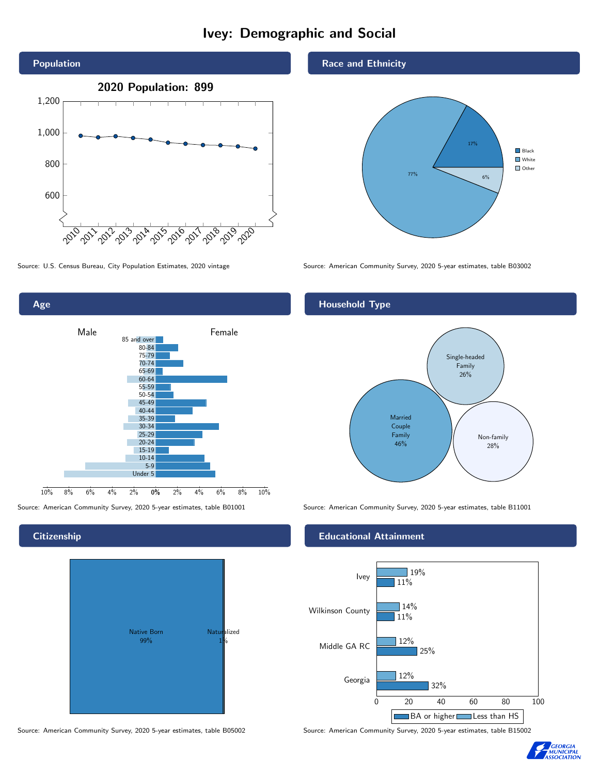# Ivey: Demographic and Social





# **Citizenship**



#### Source: American Community Survey, 2020 5-year estimates, table B05002 Source: American Community Survey, 2020 5-year estimates, table B15002

Race and Ethnicity



Source: U.S. Census Bureau, City Population Estimates, 2020 vintage Source: American Community Survey, 2020 5-year estimates, table B03002

## Household Type



Source: American Community Survey, 2020 5-year estimates, table B01001 Source: American Community Survey, 2020 5-year estimates, table B11001

### Educational Attainment



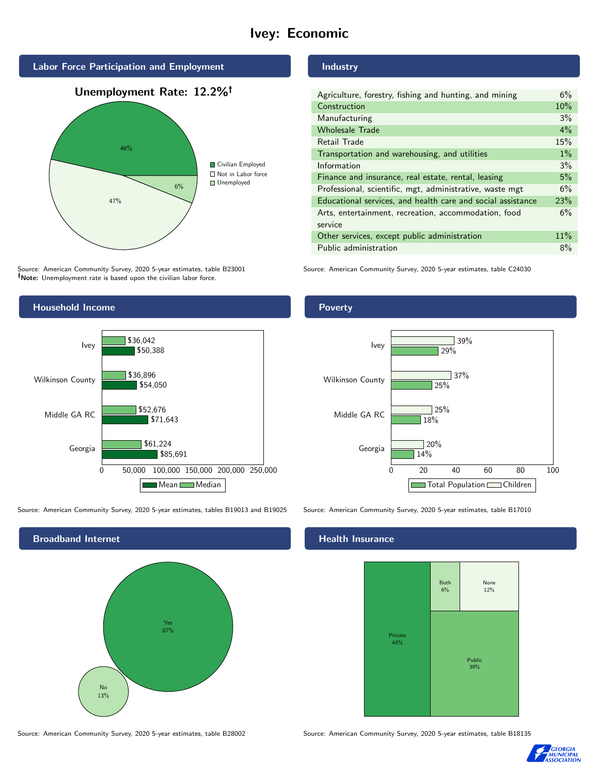# Ivey: Economic



Source: American Community Survey, 2020 5-year estimates, table B23001 Note: Unemployment rate is based upon the civilian labor force.

#### Industry

| Agriculture, forestry, fishing and hunting, and mining      | 6%     |
|-------------------------------------------------------------|--------|
| Construction                                                | 10%    |
| Manufacturing                                               | 3%     |
| <b>Wholesale Trade</b>                                      | 4%     |
| Retail Trade                                                | 15%    |
| Transportation and warehousing, and utilities               | $1\%$  |
| Information                                                 | 3%     |
| Finance and insurance, real estate, rental, leasing         | 5%     |
| Professional, scientific, mgt, administrative, waste mgt    | 6%     |
| Educational services, and health care and social assistance | 23%    |
| Arts, entertainment, recreation, accommodation, food        | 6%     |
| service                                                     |        |
| Other services, except public administration                | $11\%$ |
| Public administration                                       | 8%     |

Source: American Community Survey, 2020 5-year estimates, table C24030



Source: American Community Survey, 2020 5-year estimates, tables B19013 and B19025 Source: American Community Survey, 2020 5-year estimates, table B17010



#### Source: American Community Survey, 2020 5-year estimates, table B28002 Source: American Community Survey, 2020 5-year estimates, table B18135

# **Poverty**



#### Health Insurance